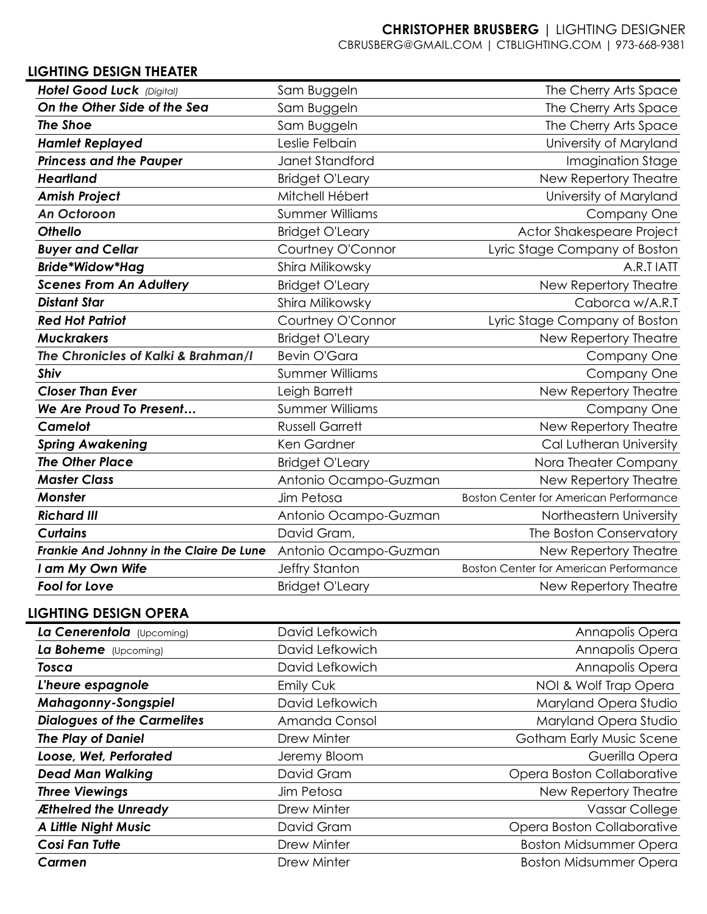## **CHRISTOPHER BRUSBERG** | LIGHTING DESIGNER

CBRUSBERG@GMAIL.COM | CTBLIGHTING.COM | 973-668-9381

## **LIGHTING DESIGN THEATER**

| Hotel Good Luck (Digital)                | Sam Buggeln            | The Cherry Arts Space                         |
|------------------------------------------|------------------------|-----------------------------------------------|
| On the Other Side of the Sea             | Sam Buggeln            | The Cherry Arts Space                         |
| <b>The Shoe</b>                          | Sam Buggeln            | The Cherry Arts Space                         |
| <b>Hamlet Replayed</b>                   | Leslie Felbain         | University of Maryland                        |
| <b>Princess and the Pauper</b>           | <b>Janet Standford</b> | Imagination Stage                             |
| <b>Heartland</b>                         | <b>Bridget O'Leary</b> | New Repertory Theatre                         |
| <b>Amish Project</b>                     | Mitchell Hébert        | University of Maryland                        |
| <b>An Octoroon</b>                       | <b>Summer Williams</b> | Company One                                   |
| <b>Othello</b>                           | <b>Bridget O'Leary</b> | Actor Shakespeare Project                     |
| <b>Buyer and Cellar</b>                  | Courtney O'Connor      | Lyric Stage Company of Boston                 |
| <b>Bride*Widow*Hag</b>                   | Shira Milikowsky       | A.R.T IATT                                    |
| <b>Scenes From An Adultery</b>           | <b>Bridget O'Leary</b> | New Repertory Theatre                         |
| <b>Distant Star</b>                      | Shira Milikowsky       | Caborca w/A.R.T                               |
| <b>Red Hot Patriot</b>                   | Courtney O'Connor      | Lyric Stage Company of Boston                 |
| <b>Muckrakers</b>                        | <b>Bridget O'Leary</b> | New Repertory Theatre                         |
| The Chronicles of Kalki & Brahman/I      | <b>Bevin O'Gara</b>    | Company One                                   |
| <b>Shiv</b>                              | <b>Summer Williams</b> | Company One                                   |
| <b>Closer Than Ever</b>                  | Leigh Barrett          | New Repertory Theatre                         |
| We Are Proud To Present                  | <b>Summer Williams</b> | Company One                                   |
| <b>Camelot</b>                           | <b>Russell Garrett</b> | New Repertory Theatre                         |
| <b>Spring Awakening</b>                  | Ken Gardner            | Cal Lutheran University                       |
| <b>The Other Place</b>                   | <b>Bridget O'Leary</b> | Nora Theater Company                          |
| <b>Master Class</b>                      | Antonio Ocampo-Guzman  | New Repertory Theatre                         |
| <b>Monster</b>                           | Jim Petosa             | <b>Boston Center for American Performance</b> |
| <b>Richard III</b>                       | Antonio Ocampo-Guzman  | Northeastern University                       |
| <b>Curtains</b>                          | David Gram,            | The Boston Conservatory                       |
| Frankie And Johnny in the Claire De Lune | Antonio Ocampo-Guzman  | New Repertory Theatre                         |
| am My Own Wife                           | Jeffry Stanton         | <b>Boston Center for American Performance</b> |
| <b>Fool for Love</b>                     | <b>Bridget O'Leary</b> | New Repertory Theatre                         |

# **LIGHTING DESIGN OPERA**

| La Cenerentola (Upcoming)          | David Lefkowich | Annapolis Opera               |
|------------------------------------|-----------------|-------------------------------|
| La Boheme (Upcoming)               | David Lefkowich | Annapolis Opera               |
| Tosca                              | David Lefkowich | Annapolis Opera               |
| L'heure espagnole                  | Emily Cuk       | NOI & Wolf Trap Opera         |
| <b>Mahagonny-Songspiel</b>         | David Lefkowich | Maryland Opera Studio         |
| <b>Dialogues of the Carmelites</b> | Amanda Consol   | Maryland Opera Studio         |
| <b>The Play of Daniel</b>          | Drew Minter     | Gotham Early Music Scene      |
| Loose, Wet, Perforated             | Jeremy Bloom    | Guerilla Opera                |
| <b>Dead Man Walking</b>            | David Gram      | Opera Boston Collaborative    |
| <b>Three Viewings</b>              | Jim Petosa      | New Repertory Theatre         |
| Æthelred the Unready               | Drew Minter     | <b>Vassar College</b>         |
| <b>A Little Night Music</b>        | David Gram      | Opera Boston Collaborative    |
| <b>Cosi Fan Tutte</b>              | Drew Minter     | <b>Boston Midsummer Opera</b> |
| Carmen                             | Drew Minter     | <b>Boston Midsummer Opera</b> |